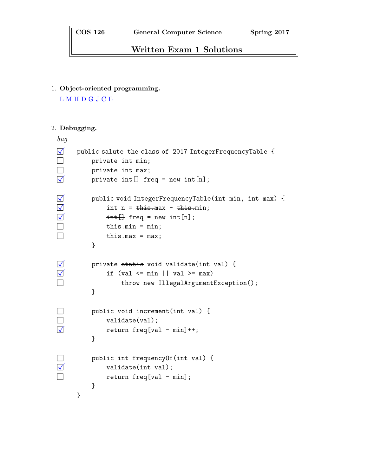# Written Exam 1 Solutions

1. Object-oriented programming.

L M H D G J C E

#### 2. Debugging.

```
bug
◻✓ public salute the class of 2017 IntegerFrequencyTable {
□ private int min;
\Box private int max;
\sqrt{q} private int[] freq = new int[n];
◻✓ public void IntegerFrequencyTable(int min, int max) {
\nabla int n = this.max - this.min;
\nabla int \exists freq = new int [n];
\Box this.min = min;
\Box this.max = max;
        }
◻✓ private static void validate(int val) {
\overline{y} if (val \leq min || val \geq max)
◻ throw new IllegalArgumentException();
        }
□ public void increment(int val) {
\Box validate(val);
◻✓ return freq[val - min]++;
        }
◻ public int frequencyOf(int val) {
\nabla validate(int val);
\Box return freq[val - min];
        }
    }
```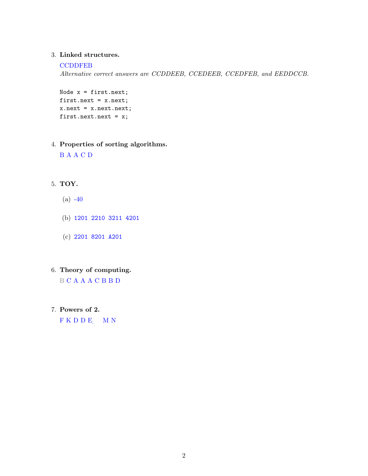#### 3. Linked structures.

#### **CCDDFEB**

Alternative correct answers are CCDDEEB, CCEDEEB, CCEDFEB, and EEDDCCB.

Node x = first.next; first.next = x.next; x.next = x.next.next; first.next.next = x;

#### 4. Properties of sorting algorithms.

B A A C D

## 5. TOY.

- $(a) -40$
- (b) 1201 2210 3211 4201
- (c) 2201 8201 A201

## 6. Theory of computing.

B C A A A C B B D

7. Powers of 2.

 $F K D D E$  M N